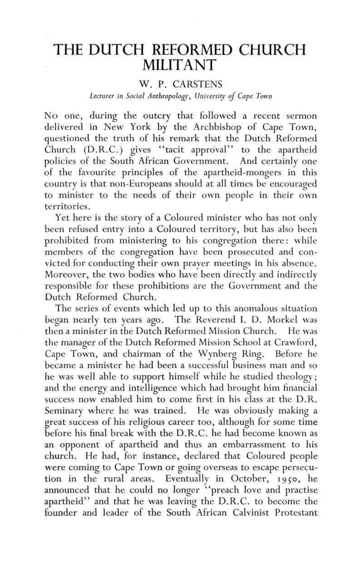## THE DUTCH REFORMED CHURCH MILITANT

## W. P. CARSTENS

## *Lecturer in Social Anthropology, University of Cape Town*

No one, during the outcry that followed a recent sermon delivered in New York by the Archbishop of Cape Town, questioned the truth of his remark that the Dutch Reformed Church (D.R.C.) gives ''tacit approval" to the apartheid policies of the South African Government. And certainly one of the favourite principles of the apartheid-mongers in this country is that non-Europeans should at all times be encouraged to minister to the needs of their own people in their own territories.

Yet here is the story of a Coloured minister who has not only been refused entry into a Coloured territory, but has also been prohibited from ministering to his congregation there: while members of the congregation have been prosecuted and convicted for conducting their own prayer meetings in his absence. Moreover, the two bodies who have been directly and indirectly responsible for these prohibitions are the Government and the Dutch Reformed Church.

The series of events which led up to this anomalous situation began nearly ten years ago. The Reverend I. D. Morkel was then a minister in the Dutch Reformed Mission Church. He was the manager of the Dutch Reformed Mission School at Crawford, Cape Town, and chairman of the Wynberg Ring. Before he became a minister he had been a successful business man and so he was well able to support himself while he studied theology; and the energy and intelligence which had brought him financial success now enabled him to come first in his class at the D.R. Seminary where he was trained. He was obviously making a great success of his religious career too, although for some time before his final break with the D.R.C. he had become known as an opponent of apartheid and thus an embarrassment to his church. He had, for instance, declared that Coloured people were coming to Cape Town or going overseas to escape persecution in the rural areas. Eventually in October, 19^0, he announced that he could no longer "preach love and practise apartheid" and that he was leaving the D.R.C. to become the founder and leader of the South African Calvinist Protestant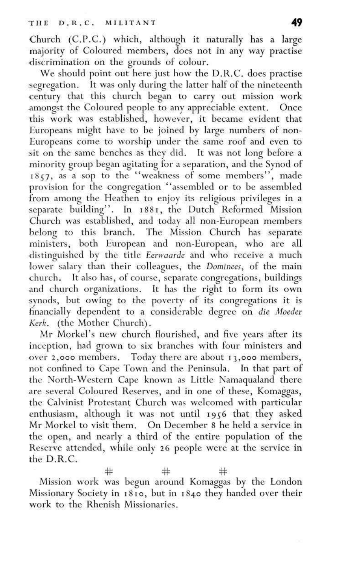Church (C.P.C.) which, although it naturally has a large majority of Coloured members, does not in any way practise •discrimination on the grounds of colour.

We should point out here just how the D.R.C. does practise segregation. It was only during the latter half of the nineteenth century that this church began to carry out mission work amongst the Coloured people to any appreciable extent. Once this work was established, however, it became evident that Europeans might have to be joined by large numbers of non-Europeans come to worship under the same roof and even to sit on the same benches as they did. It was not long before a minority group began agitating for a separation, and the Synod of 18£7, as a sop to the "weakness of some members", made provision for the congregation "assembled or to be assembled from among the Heathen to enjoy its religious privileges in a separate building". In 1881, the Dutch Reformed Mission Church was established, and today all non-European members belong to this branch. The Mission Church has separate ministers, both European and non-European, who are all distinguished by the title *Eerwaarde* and who receive a much lower salary than their colleagues, the *Dominees,* of the main church. It also has, of course, separate congregations, buildings and church organizations. It has the right to form its own synods, but owing to the poverty of its congregations it is financially dependent to a considerable degree on *die Moeder Kerk.* (the Mother Church).

Mr Morkel's new church flourished, and five years after its inception, had grown to six branches with four ministers and over 2,000 members. Today there are about 13,000 members, not confined to Cape Town and the Peninsula. In that part of the North-Western Cape known as Little Namaqualand there are several Coloured Reserves, and in one of these, Komaggas, the Calvinist Protestant Church was welcomed with particular enthusiasm, although it was not until 19^6 that they asked Mr Morkel to visit them. On December 8 he held a service in the open, and nearly a third of the entire population of the Reserve attended, while only 26 people were at the service in the D.R.C.

 $\begin{array}{ccc}\n & + & + \\
\text{Mission work was begun around Komaggas by the London}\n \end{array}$ Mission work was begun around Komaggas by the London Missionary Society in 1810, but in 1840 they handed over their work to the Rhenish Missionaries.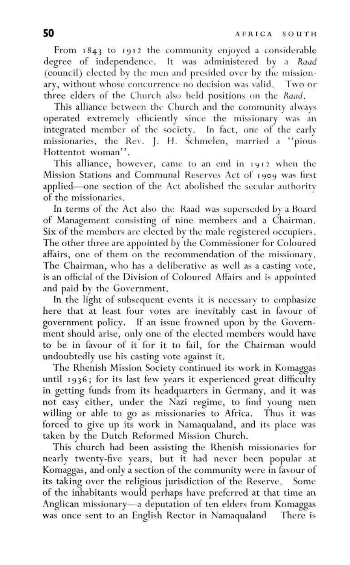From 1843 to 1912 the community enjoyed a considerable degree of independence. It was administered by a *Kaad*  (council) elected by the men and presided over by the missionary, without whose concurrence no decision was valid. Two or three elders of the Church also held positions on the *Kaad.* 

This alliance between the Church and the community always operated extremely efficiently since the missionary was an integrated member of the society. In fact, one of the early missionaries, the Rev. J. H. Schmelen, married a "pious. Hottentot woman".

This alliance, however, came to an end in 1912 when the Mission Stations and Communal Reserves Act of 1909 was first applied—one section of the Act abolished the secular authority of the missionaries.

In terms of the Act also the Raad was superseded by a Board of Management consisting of nine members and a Chairman. Six of the members are elected by the male registered occupiers. The other three are appointed by the Commissioner for Coloured affairs, one of them on the recommendation of the missionary. The Chairman, who has a deliberative as well as a casting vote, is an official of the Division of Coloured Affairs and is appointed and paid by the Government.

In the light of subsequent events it is necessary to emphasize here that at least four votes are inevitably cast in favour of government policy. If an Issue frowned upon by the Government should arise, only one of the elected members would have to be in favour of it for it to fail, for the Chairman would undoubtedly use his casting vote against it.

The Rhenish Mission Society continued its work in Komaggas until 1936; for its last few years it experienced great difficulty in getting funds from its headquarters in Germany, and it was not easy either, under the Nazi regime, to find young men willing or able to go as missionaries to Africa. Thus it was forced to give up its work in Namaqualand, and its place was taken by the Dutch Reformed Mission Church.

This church had been assisting the Rhenish missionaries for nearly twenty-five years, but it had never been popular at Komaggas, and only a section of the community were in favour of its taking over the religious jurisdiction of the Reserve. Some of the inhabitants would perhaps have preferred at that time an Anglican missionary—a deputation of ten elders from Komaggas was once sent to an English Rector in Namaqualand There is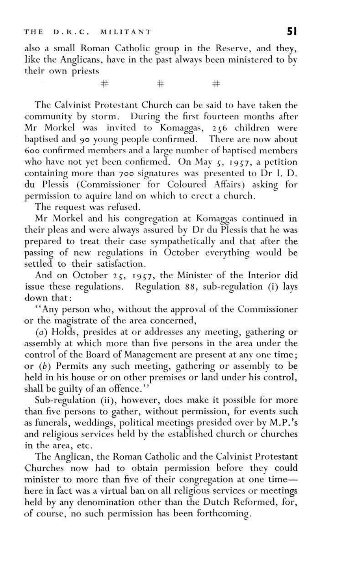also a small Roman Catholic group in the Reserve, and they, like the Anglicans, have in the past always been ministered to by their own priests

**# # #** 

The Calvinist Protestant Church can be said to have taken the community by storm. During the first fourteen months after Mr Morkel was invited to Komaggas, 256 children were baptised and 90 young people confirmed. There are now about 600 confirmed members and a large number of baptised members who have not yet been confirmed. On May  $5, 1957,$  a petition containing more than 700 signatures was presented to Dr I. D. du Plessis (Commissioner for Coloured Affairs) asking for permission to aquire land on which to erect a church,

The request was refused,

Mr Morkel and his congregation at Komaggas continued in their pleas and were always assured by Dr du Plessis that he was prepared to treat their case sympathetically and that after the passing of new regulations in October everything would be settled to their satisfaction.

And on October 25, 1957, the Minister of the Interior did issue these regulations. Regulation 88, sub-regulation (i) lays down that:

"Any person who, without the approval of the Commissioner or the magistrate of the area concerned,

*(a)* Holds, presides at or addresses any meeting, gathering or assembly at which more than five persons in the area under the control of the Board of Management are present at any one time; or *(b)* Permits any such meeting, gathering or assembly to be held in his house or on other premises or land under his control, shall be guilty of an offence."

Sub-regulation (ii), however, does make it possible for more than five persons to gather, without permission, for events such as funerals, weddings, political meetings presided over by M.P.'s and religious services held by the established church or churches in the area, etc.

The Anglican, the Roman Catholic and the Calvinist Protestant Churches now had to obtain permission before they could minister to more than five of their congregation at one time here in fact was a virtual ban on all religious services or meetings held by any denomination other than the Dutch Reformed, for, of course, no such permission has been forthcoming.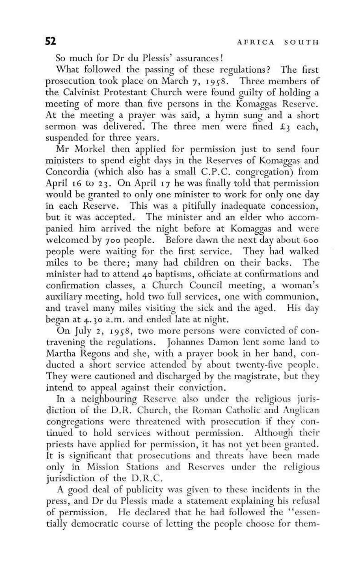So much for Dr du Plessis' assurances!

What followed the passing of these regulations? The first prosecution took place on March 7, 1958. Three members of the Calvinist Protestant Church were found guilty of holding a meeting of more than five persons in the Komaggas Reserve. At the meeting a prayer was said, a hymn sung and a short sermon was delivered. The three men were fined  $\mathfrak{L}_3$  each, suspended for three years.

Mr Morkel then applied for permission just to send four ministers to spend eight days in the Reserves of Komaggas and Concordia (which also has a small C.P.C. congregation) from April 16 to 23. On April 17 he was finally told that permission would be granted to only one minister to work for only one day in each Reserve. This was a pitifully inadequate concession, but it was accepted. The minister and an elder who accompanied him arrived the night before at Komaggas and were welcomed by 700 people. Before dawn the next day about 600 people were waiting for the first service. They had walked miles to be there; many had children on their backs. The minister had to attend 40 baptisms, officiate at confirmations and confirmation classes, a Church Council meeting, a woman's auxiliary meeting, hold two full services, one with communion, and travel many miles visiting the sick and the aged. His day began at 4.30 a.m. and ended late at night.

On July 2, 1958, two more persons were convicted of contravening the regulations. Johannes Damon lent some land to Martha Regons and she, with a prayer book in her hand, conducted a short service attended by about twenty-five people. They were cautioned and discharged by the magistrate, but they intend to appeal against their conviction.

In a neighbouring Reserve also under the religious jurisdiction of the D.R. Church, the Roman Catholic and Anglican congregations were threatened with prosecution if they continued to hold services without permission. Although their priests have applied for permission, it has not yet been granted. It is significant that prosecutions and threats have been made only in Mission Stations and Reserves under the religious jurisdiction of the D.R.C.

A good deal of publicity was given to these incidents in the press, and Dr du Plessis made a statement explaining his refusal of permission. He declared that he had followed the "essentially democratic course of letting the people choose for them